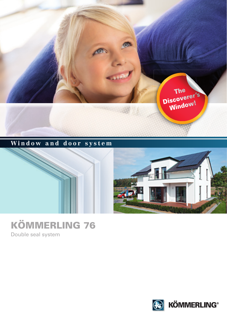

## **Window and door system**





# KÖMMERLING 76

Double seal system